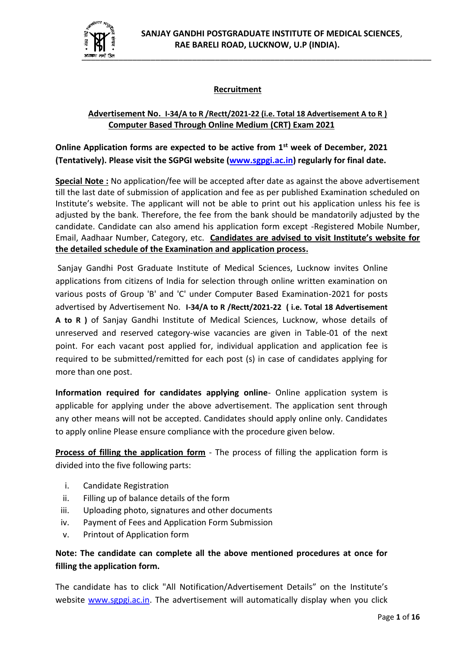

# **Recruitment**

# **Advertisement No. I-34/A to R /Rectt/2021-22 (i.e. Total 18 Advertisement A to R ) Computer Based Through Online Medium (CRT) Exam 2021**

**Online Application forms are expected to be active from 1st week of December, 2021 (Tentatively). Please visit the SGPGI website [\(www.sgpgi.ac.in\)](http://www.sgpgi.ac.in/) regularly for final date.**

**Special Note :** No application/fee will be accepted after date as against the above advertisement till the last date of submission of application and fee as per published Examination scheduled on Institute's website. The applicant will not be able to print out his application unless his fee is adjusted by the bank. Therefore, the fee from the bank should be mandatorily adjusted by the candidate. Candidate can also amend his application form except -Registered Mobile Number, Email, Aadhaar Number, Category, etc. **Candidates are advised to visit Institute's website for the detailed schedule of the Examination and application process.**

Sanjay Gandhi Post Graduate Institute of Medical Sciences, Lucknow invites Online applications from citizens of India for selection through online written examination on various posts of Group 'B' and 'C' under Computer Based Examination-2021 for posts advertised by Advertisement No. **I-34/A to R /Rectt/2021-22 ( i.e. Total 18 Advertisement A to R )** of Sanjay Gandhi Institute of Medical Sciences, Lucknow, whose details of unreserved and reserved category-wise vacancies are given in Table-01 of the next point. For each vacant post applied for, individual application and application fee is required to be submitted/remitted for each post (s) in case of candidates applying for more than one post.

**Information required for candidates applying online**- Online application system is applicable for applying under the above advertisement. The application sent through any other means will not be accepted. Candidates should apply online only. Candidates to apply online Please ensure compliance with the procedure given below.

**Process of filling the application form** - The process of filling the application form is divided into the five following parts:

- i. Candidate Registration
- ii. Filling up of balance details of the form
- iii. Uploading photo, signatures and other documents
- iv. Payment of Fees and Application Form Submission
- v. Printout of Application form

# **Note: The candidate can complete all the above mentioned procedures at once for filling the application form.**

The candidate has to click "All Notification/Advertisement Details" on the Institute's website [www.sgpgi.ac.in.](http://www.sgpgi.ac.in/) The advertisement will automatically display when you click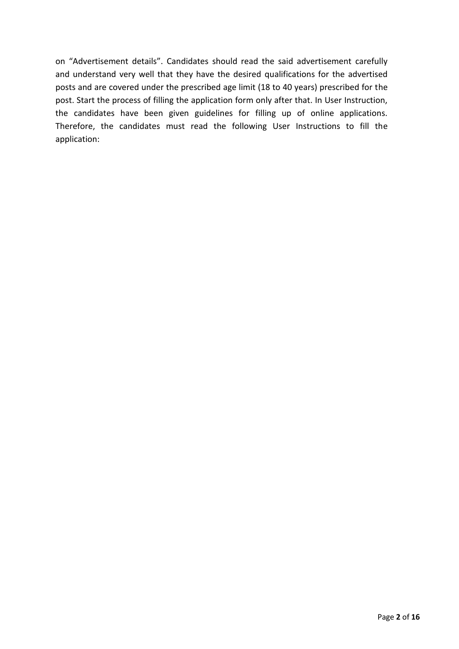on "Advertisement details". Candidates should read the said advertisement carefully and understand very well that they have the desired qualifications for the advertised posts and are covered under the prescribed age limit (18 to 40 years) prescribed for the post. Start the process of filling the application form only after that. In User Instruction, the candidates have been given guidelines for filling up of online applications. Therefore, the candidates must read the following User Instructions to fill the application: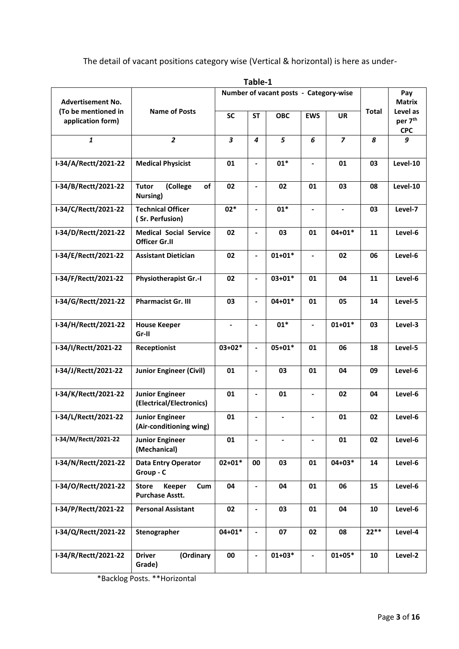The detail of vacant positions category wise (Vertical & horizontal) is here as under-

|                                          |                                                                |                                        | Table-1                  |                |                              |                          |              |                                               |
|------------------------------------------|----------------------------------------------------------------|----------------------------------------|--------------------------|----------------|------------------------------|--------------------------|--------------|-----------------------------------------------|
| <b>Advertisement No.</b>                 |                                                                | Number of vacant posts - Category-wise |                          |                |                              |                          |              | Pay<br><b>Matrix</b>                          |
| (To be mentioned in<br>application form) | <b>Name of Posts</b>                                           | <b>SC</b>                              | <b>ST</b>                | <b>OBC</b>     | <b>EWS</b>                   | <b>UR</b>                | <b>Total</b> | Level as<br>per 7 <sup>th</sup><br><b>CPC</b> |
| $\mathbf{1}$                             | $\overline{2}$                                                 | 3                                      | $\boldsymbol{4}$         | 5              | 6                            | $\overline{\phantom{a}}$ | 8            | 9                                             |
| I-34/A/Rectt/2021-22                     | <b>Medical Physicist</b>                                       | 01                                     | $\blacksquare$           | $01*$          | $\qquad \qquad \blacksquare$ | 01                       | 03           | Level-10                                      |
| I-34/B/Rectt/2021-22                     | (College<br>of<br><b>Tutor</b><br>Nursing)                     | 02                                     | $\overline{\phantom{0}}$ | 02             | 01                           | 03                       | 08           | Level-10                                      |
| I-34/C/Rectt/2021-22                     | <b>Technical Officer</b><br>(Sr. Perfusion)                    | $02*$                                  | $\blacksquare$           | $01*$          | $\blacksquare$               | $\blacksquare$           | 03           | Level-7                                       |
| I-34/D/Rectt/2021-22                     | <b>Medical Social Service</b><br><b>Officer Gr.II</b>          | 02                                     | $\overline{\phantom{0}}$ | 03             | 01                           | $04 + 01*$               | 11           | Level-6                                       |
| I-34/E/Rectt/2021-22                     | <b>Assistant Dietician</b>                                     | 02                                     | $\overline{\phantom{0}}$ | $01+01*$       | $\blacksquare$               | 02                       | 06           | Level-6                                       |
| I-34/F/Rectt/2021-22                     | <b>Physiotherapist Gr.-I</b>                                   | 02                                     | $\overline{\phantom{0}}$ | $03 + 01*$     | 01                           | 04                       | 11           | Level-6                                       |
| I-34/G/Rectt/2021-22                     | <b>Pharmacist Gr. III</b>                                      | 03                                     | $\overline{\phantom{0}}$ | $04 + 01*$     | 01                           | 05                       | 14           | Level-5                                       |
| I-34/H/Rectt/2021-22                     | <b>House Keeper</b><br>Gr-II                                   | $\blacksquare$                         | $\overline{\phantom{0}}$ | $01*$          | $\overline{\phantom{a}}$     | $01+01*$                 | 03           | Level-3                                       |
| I-34/I/Rectt/2021-22                     | Receptionist                                                   | $03+02*$                               |                          | $05 + 01*$     | 01                           | 06                       | 18           | Level-5                                       |
| I-34/J/Rectt/2021-22                     | <b>Junior Engineer (Civil)</b>                                 | 01                                     | ٠                        | 03             | 01                           | 04                       | 09           | Level-6                                       |
| I-34/K/Rectt/2021-22                     | <b>Junior Engineer</b><br>(Electrical/Electronics)             | 01                                     | $\overline{\phantom{0}}$ | 01             |                              | 02                       | 04           | Level-6                                       |
| I-34/L/Rectt/2021-22                     | <b>Junior Engineer</b><br>(Air-conditioning wing)              | 01                                     | $\overline{\phantom{0}}$ | $\blacksquare$ | $\blacksquare$               | 01                       | 02           | Level-6                                       |
| I-34/M/Rectt/2021-22                     | <b>Junior Engineer</b><br>(Mechanical)                         | 01                                     | $\overline{\phantom{0}}$ | -              | $\overline{\phantom{a}}$     | 01                       | 02           | Level-6                                       |
| I-34/N/Rectt/2021-22                     | <b>Data Entry Operator</b><br>Group - C                        | $02 + 01*$                             | 00                       | 03             | 01                           | $04 + 03*$               | 14           | Level-6                                       |
| I-34/O/Rectt/2021-22                     | <b>Keeper</b><br><b>Store</b><br>Cum<br><b>Purchase Asstt.</b> | 04                                     | $\overline{\phantom{0}}$ | 04             | 01                           | 06                       | 15           | Level-6                                       |
| I-34/P/Rectt/2021-22                     | <b>Personal Assistant</b>                                      | 02                                     | $\overline{\phantom{0}}$ | 03             | 01                           | 04                       | 10           | Level-6                                       |
| I-34/Q/Rectt/2021-22                     | Stenographer                                                   | $04 + 01*$                             |                          | 07             | 02                           | 08                       | $22**$       | Level-4                                       |
| I-34/R/Rectt/2021-22                     | <b>Driver</b><br>(Ordinary<br>Grade)                           | 00                                     |                          | $01+03*$       | $\qquad \qquad \blacksquare$ | $01+05*$                 | 10           | Level-2                                       |

\*Backlog Posts. \*\*Horizontal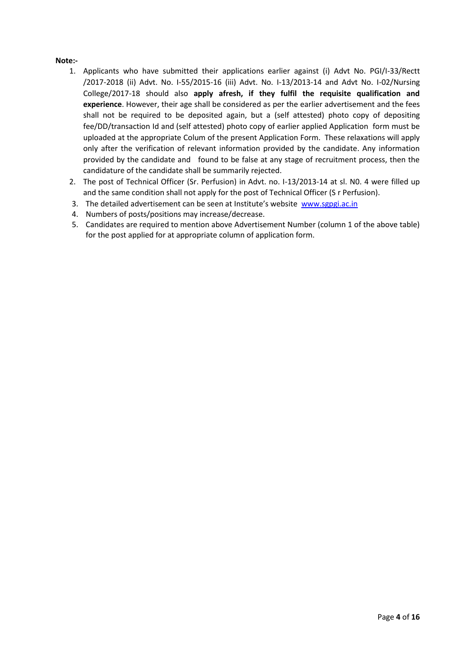#### **Note:-**

- 1. Applicants who have submitted their applications earlier against (i) Advt No. PGI/I-33/Rectt /2017-2018 (ii) Advt. No. I-55/2015-16 (iii) Advt. No. I-13/2013-14 and Advt No. I-02/Nursing College/2017-18 should also **apply afresh, if they fulfil the requisite qualification and experience**. However, their age shall be considered as per the earlier advertisement and the fees shall not be required to be deposited again, but a (self attested) photo copy of depositing fee/DD/transaction Id and (self attested) photo copy of earlier applied Application form must be uploaded at the appropriate Colum of the present Application Form. These relaxations will apply only after the verification of relevant information provided by the candidate. Any information provided by the candidate and found to be false at any stage of recruitment process, then the candidature of the candidate shall be summarily rejected.
- 2. The post of Technical Officer (Sr. Perfusion) in Advt. no. I-13/2013-14 at sl. N0. 4 were filled up and the same condition shall not apply for the post of Technical Officer (S r Perfusion).
- 3. The detailed advertisement can be seen at Institute's website [www.sgpgi.ac.in](http://www.sgpgi.ac.in/)
- 4. Numbers of posts/positions may increase/decrease.
- 5. Candidates are required to mention above Advertisement Number (column 1 of the above table) for the post applied for at appropriate column of application form.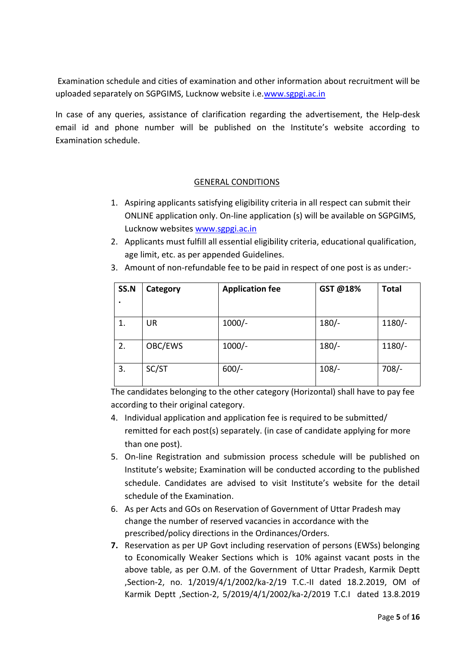Examination schedule and cities of examination and other information about recruitment will be uploaded separately on SGPGIMS, Lucknow website i.e[.www.sgpgi.ac.in](http://www.sgpgi.ac.in/)

In case of any queries, assistance of clarification regarding the advertisement, the Help-desk email id and phone number will be published on the Institute's website according to Examination schedule.

# GENERAL CONDITIONS

- 1. Aspiring applicants satisfying eligibility criteria in all respect can submit their ONLINE application only. On-line application (s) will be available on SGPGIMS, Lucknow websites [www.sgpgi.ac.in](http://www.sgpgi.ac.in/)
- 2. Applicants must fulfill all essential eligibility criteria, educational qualification, age limit, etc. as per appended Guidelines.

| SS.N<br>$\bullet$ | Category  | <b>Application fee</b> | GST @18% | <b>Total</b> |
|-------------------|-----------|------------------------|----------|--------------|
| 1.                | <b>UR</b> | $1000/-$               | $180/-$  | $1180/-$     |
| 2.                | OBC/EWS   | $1000/-$               | $180/-$  | $1180/-$     |
| 3.                | SC/ST     | $600/-$                | $108/-$  | $708/-$      |

3. Amount of non-refundable fee to be paid in respect of one post is as under:-

The candidates belonging to the other category (Horizontal) shall have to pay fee according to their original category.

- 4. Individual application and application fee is required to be submitted/ remitted for each post(s) separately. (in case of candidate applying for more than one post).
- 5. On-line Registration and submission process schedule will be published on Institute's website; Examination will be conducted according to the published schedule. Candidates are advised to visit Institute's website for the detail schedule of the Examination.
- 6. As per Acts and GOs on Reservation of Government of Uttar Pradesh may change the number of reserved vacancies in accordance with the prescribed/policy directions in the Ordinances/Orders.
- **7.** Reservation as per UP Govt including reservation of persons (EWSs) belonging to Economically Weaker Sections which is 10% against vacant posts in the above table, as per O.M. of the Government of Uttar Pradesh, Karmik Deptt ,Section-2, no. 1/2019/4/1/2002/ka-2/19 T.C.-II dated 18.2.2019, OM of Karmik Deptt ,Section-2, 5/2019/4/1/2002/ka-2/2019 T.C.I dated 13.8.2019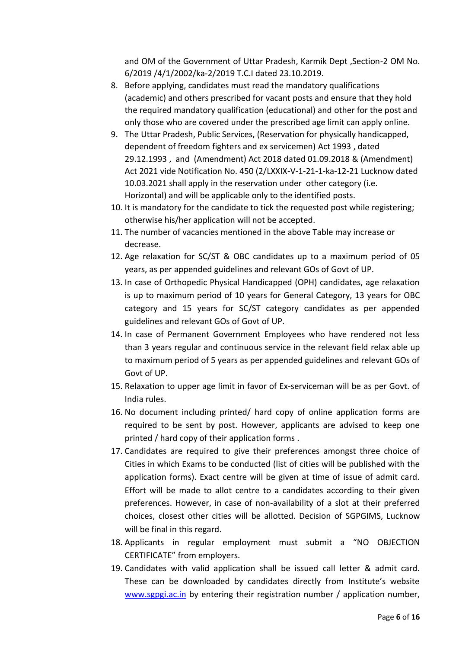and OM of the Government of Uttar Pradesh, Karmik Dept ,Section-2 OM No. 6/2019 /4/1/2002/ka-2/2019 T.C.I dated 23.10.2019.

- 8. Before applying, candidates must read the mandatory qualifications (academic) and others prescribed for vacant posts and ensure that they hold the required mandatory qualification (educational) and other for the post and only those who are covered under the prescribed age limit can apply online.
- 9. The Uttar Pradesh, Public Services, (Reservation for physically handicapped, dependent of freedom fighters and ex servicemen) Act 1993 , dated 29.12.1993 , and (Amendment) Act 2018 dated 01.09.2018 & (Amendment) Act 2021 vide Notification No. 450 (2/LXXIX-V-1-21-1-ka-12-21 Lucknow dated 10.03.2021 shall apply in the reservation under other category (i.e. Horizontal) and will be applicable only to the identified posts.
- 10. It is mandatory for the candidate to tick the requested post while registering; otherwise his/her application will not be accepted.
- 11. The number of vacancies mentioned in the above Table may increase or decrease.
- 12. Age relaxation for SC/ST & OBC candidates up to a maximum period of 05 years, as per appended guidelines and relevant GOs of Govt of UP.
- 13. In case of Orthopedic Physical Handicapped (OPH) candidates, age relaxation is up to maximum period of 10 years for General Category, 13 years for OBC category and 15 years for SC/ST category candidates as per appended guidelines and relevant GOs of Govt of UP.
- 14. In case of Permanent Government Employees who have rendered not less than 3 years regular and continuous service in the relevant field relax able up to maximum period of 5 years as per appended guidelines and relevant GOs of Govt of UP.
- 15. Relaxation to upper age limit in favor of Ex-serviceman will be as per Govt. of India rules.
- 16. No document including printed/ hard copy of online application forms are required to be sent by post. However, applicants are advised to keep one printed / hard copy of their application forms .
- 17. Candidates are required to give their preferences amongst three choice of Cities in which Exams to be conducted (list of cities will be published with the application forms). Exact centre will be given at time of issue of admit card. Effort will be made to allot centre to a candidates according to their given preferences. However, in case of non-availability of a slot at their preferred choices, closest other cities will be allotted. Decision of SGPGIMS, Lucknow will be final in this regard.
- 18. Applicants in regular employment must submit a "NO OBJECTION CERTIFICATE" from employers.
- 19. Candidates with valid application shall be issued call letter & admit card. These can be downloaded by candidates directly from Institute's website [www.sgpgi.ac.in](http://www.sgpgi.ac.in/) by entering their registration number / application number,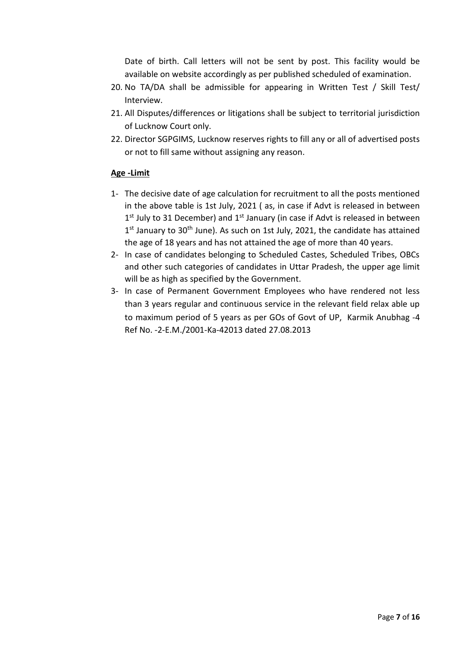Date of birth. Call letters will not be sent by post. This facility would be available on website accordingly as per published scheduled of examination.

- 20. No TA/DA shall be admissible for appearing in Written Test / Skill Test/ Interview.
- 21. All Disputes/differences or litigations shall be subject to territorial jurisdiction of Lucknow Court only.
- 22. Director SGPGIMS, Lucknow reserves rights to fill any or all of advertised posts or not to fill same without assigning any reason.

# **Age -Limit**

- 1- The decisive date of age calculation for recruitment to all the posts mentioned in the above table is 1st July, 2021 ( as, in case if Advt is released in between  $1<sup>st</sup>$  July to 31 December) and  $1<sup>st</sup>$  January (in case if Advt is released in between 1<sup>st</sup> January to 30<sup>th</sup> June). As such on 1st July, 2021, the candidate has attained the age of 18 years and has not attained the age of more than 40 years.
- 2- In case of candidates belonging to Scheduled Castes, Scheduled Tribes, OBCs and other such categories of candidates in Uttar Pradesh, the upper age limit will be as high as specified by the Government.
- 3- In case of Permanent Government Employees who have rendered not less than 3 years regular and continuous service in the relevant field relax able up to maximum period of 5 years as per GOs of Govt of UP, Karmik Anubhag -4 Ref No. -2-E.M./2001-Ka-42013 dated 27.08.2013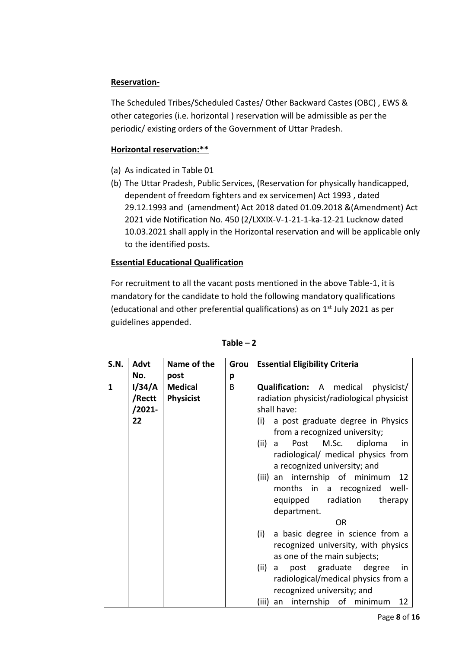# **Reservation-**

The Scheduled Tribes/Scheduled Castes/ Other Backward Castes (OBC) , EWS & other categories (i.e. horizontal ) reservation will be admissible as per the periodic/ existing orders of the Government of Uttar Pradesh.

## **Horizontal reservation:\*\***

- (a) As indicated in Table 01
- (b) The Uttar Pradesh, Public Services, (Reservation for physically handicapped, dependent of freedom fighters and ex servicemen) Act 1993 , dated 29.12.1993 and (amendment) Act 2018 dated 01.09.2018 &(Amendment) Act 2021 vide Notification No. 450 (2/LXXIX-V-1-21-1-ka-12-21 Lucknow dated 10.03.2021 shall apply in the Horizontal reservation and will be applicable only to the identified posts.

# **Essential Educational Qualification**

For recruitment to all the vacant posts mentioned in the above Table-1, it is mandatory for the candidate to hold the following mandatory qualifications (educational and other preferential qualifications) as on  $1<sup>st</sup>$  July 2021 as per guidelines appended.

| <b>S.N.</b>  | <b>Advt</b> | Name of the      | Grou | <b>Essential Eligibility Criteria</b>             |
|--------------|-------------|------------------|------|---------------------------------------------------|
|              | No.         | post             | p    |                                                   |
| $\mathbf{1}$ | I/34/A      | <b>Medical</b>   | B    | <b>Qualification:</b> A medical<br>physicist/     |
|              | /Rectt      | <b>Physicist</b> |      | radiation physicist/radiological physicist        |
|              | /2021-      |                  |      | shall have:                                       |
|              | 22          |                  |      | a post graduate degree in Physics<br>(i)          |
|              |             |                  |      | from a recognized university;                     |
|              |             |                  |      | (ii)<br>Post<br>M.Sc.<br>diploma<br>a<br>in       |
|              |             |                  |      | radiological/ medical physics from                |
|              |             |                  |      | a recognized university; and                      |
|              |             |                  |      | (iii) an internship of minimum<br>12              |
|              |             |                  |      | months in a recognized<br>- well                  |
|              |             |                  |      | radiation<br>equipped<br>therapy                  |
|              |             |                  |      | department.                                       |
|              |             |                  |      | <b>OR</b>                                         |
|              |             |                  |      | a basic degree in science from a<br>(i)           |
|              |             |                  |      | recognized university, with physics               |
|              |             |                  |      | as one of the main subjects;                      |
|              |             |                  |      | post graduate<br>(ii)<br>degree<br>a<br><i>in</i> |
|              |             |                  |      | radiological/medical physics from a               |
|              |             |                  |      | recognized university; and                        |
|              |             |                  |      | (iii)<br>internship of<br>minimum<br>12<br>an     |

#### $Table - 2$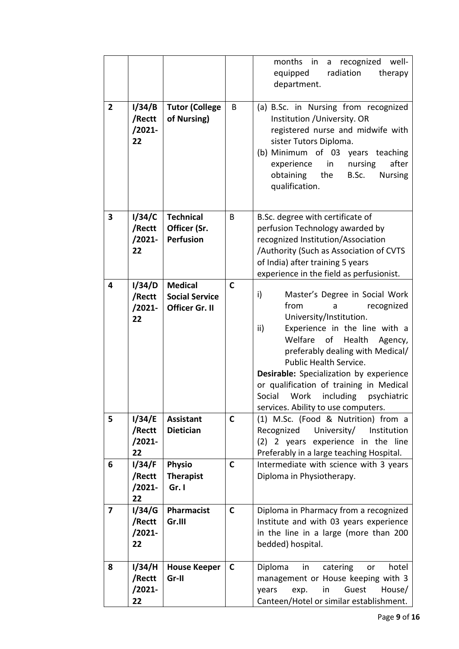|                |                                     |                                                           |              | months in<br>recognized<br>well-<br>a<br>equipped<br>radiation<br>therapy<br>department.                                                                                                                                                                                                                                                                                                                          |
|----------------|-------------------------------------|-----------------------------------------------------------|--------------|-------------------------------------------------------------------------------------------------------------------------------------------------------------------------------------------------------------------------------------------------------------------------------------------------------------------------------------------------------------------------------------------------------------------|
| $\overline{2}$ | 1/34/B<br>/Rectt<br>$/2021 -$<br>22 | <b>Tutor (College</b><br>of Nursing)                      | B            | (a) B.Sc. in Nursing from recognized<br>Institution / University. OR<br>registered nurse and midwife with<br>sister Tutors Diploma.<br>(b) Minimum of 03 years teaching<br>experience<br>nursing<br>after<br>in<br>obtaining<br>the<br>B.Sc.<br><b>Nursing</b><br>qualification.                                                                                                                                  |
| 3              | 1/34/C<br>/Rectt<br>$/2021 -$<br>22 | <b>Technical</b><br>Officer (Sr.<br><b>Perfusion</b>      | B            | B.Sc. degree with certificate of<br>perfusion Technology awarded by<br>recognized Institution/Association<br>/Authority (Such as Association of CVTS<br>of India) after training 5 years<br>experience in the field as perfusionist.                                                                                                                                                                              |
| 4              | I/34/D<br>/Rectt<br>$/2021 -$<br>22 | <b>Medical</b><br><b>Social Service</b><br>Officer Gr. II | $\mathbf C$  | i)<br>Master's Degree in Social Work<br>from<br>recognized<br>a<br>University/Institution.<br>ii)<br>Experience in the line with a<br>Welfare<br>of<br>Health<br>Agency,<br>preferably dealing with Medical/<br>Public Health Service.<br>Desirable: Specialization by experience<br>or qualification of training in Medical<br>including<br>Social<br>Work<br>psychiatric<br>services. Ability to use computers. |
| 5              | 1/34/E<br>/Rectt<br>$/2021 -$<br>22 | <b>Assistant</b><br><b>Dietician</b>                      | $\mathsf{C}$ | (1) M.Sc. (Food & Nutrition) from a<br>Recognized<br>University/<br>Institution<br>(2) 2 years experience in the line<br>Preferably in a large teaching Hospital.                                                                                                                                                                                                                                                 |
| 6              | 1/34/F<br>/Rectt<br>$/2021 -$<br>22 | Physio<br><b>Therapist</b><br>Gr. I                       | $\mathsf{C}$ | Intermediate with science with 3 years<br>Diploma in Physiotherapy.                                                                                                                                                                                                                                                                                                                                               |
| 7              | I/34/G<br>/Rectt<br>$/2021 -$<br>22 | Pharmacist<br>Gr.III                                      | $\mathsf{C}$ | Diploma in Pharmacy from a recognized<br>Institute and with 03 years experience<br>in the line in a large (more than 200<br>bedded) hospital.                                                                                                                                                                                                                                                                     |
| 8              | I/34/H<br>/Rectt<br>$/2021 -$<br>22 | <b>House Keeper</b><br>Gr-II                              | $\mathsf{C}$ | Diploma<br>in<br>catering<br>hotel<br>or<br>management or House keeping with 3<br>Guest<br>years<br>exp.<br>House/<br>in<br>Canteen/Hotel or similar establishment.                                                                                                                                                                                                                                               |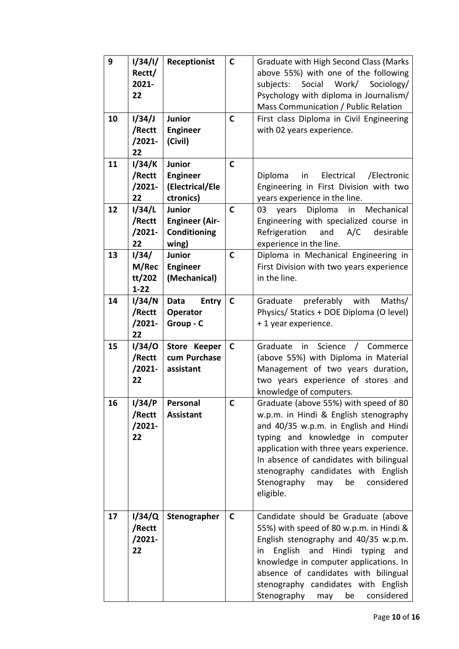| 9<br>10 | 1/34/1/<br>Rectt/<br>2021-<br>22<br>1/34/J | Receptionist<br>Junior                                           | $\mathsf{C}$<br>$\mathbf C$ | Graduate with High Second Class (Marks<br>above 55%) with one of the following<br>subjects:<br>Social<br>Work/<br>Sociology/<br>Psychology with diploma in Journalism/<br>Mass Communication / Public Relation<br>First class Diploma in Civil Engineering                                                                                       |
|---------|--------------------------------------------|------------------------------------------------------------------|-----------------------------|--------------------------------------------------------------------------------------------------------------------------------------------------------------------------------------------------------------------------------------------------------------------------------------------------------------------------------------------------|
|         | /Rectt<br>/2021-<br>22                     | <b>Engineer</b><br>(Civil)                                       |                             | with 02 years experience.                                                                                                                                                                                                                                                                                                                        |
| 11      | I/34/K<br>/Rectt<br>$/2021 -$<br>22        | <b>Junior</b><br><b>Engineer</b><br>(Electrical/Ele<br>ctronics) | $\mathsf{C}$                | Electrical<br>/Electronic<br>Diploma<br>in<br>Engineering in First Division with two<br>years experience in the line.                                                                                                                                                                                                                            |
| 12      | 1/34/L<br>/Rectt<br>$/2021 -$<br>22        | Junior<br><b>Engineer (Air-</b><br>Conditioning<br>wing)         | $\mathsf{C}$                | Diploma<br>in<br>Mechanical<br>03<br>years<br>Engineering with specialized course in<br>A/C<br>Refrigeration<br>and<br>desirable<br>experience in the line.                                                                                                                                                                                      |
| 13      | 1/34/<br>M/Rec<br>tt/202<br>$1 - 22$       | <b>Junior</b><br><b>Engineer</b><br>(Mechanical)                 | $\mathsf{C}$                | Diploma in Mechanical Engineering in<br>First Division with two years experience<br>in the line.                                                                                                                                                                                                                                                 |
| 14      | I/34/N<br>/Rectt<br>/2021-<br>22           | <b>Entry</b><br>Data<br>Operator<br>Group - C                    | $\mathbf C$                 | preferably<br>with<br>Graduate<br>Maths/<br>Physics/ Statics + DOE Diploma (O level)<br>+1 year experience.                                                                                                                                                                                                                                      |
| 15      | 1/34/O<br>/Rectt<br>$/2021 -$<br>22        | Store Keeper<br>cum Purchase<br>assistant                        | $\mathsf{C}$                | Science<br>Commerce<br>Graduate<br>in<br>$\sqrt{2}$<br>(above 55%) with Diploma in Material<br>Management of two years duration,<br>two years experience of stores and<br>knowledge of computers.                                                                                                                                                |
| 16      | 1/34/P<br>/Rectt<br>$/2021 -$<br>22        | Personal<br><b>Assistant</b>                                     | $\mathsf{C}$                | Graduate (above 55%) with speed of 80<br>w.p.m. in Hindi & English stenography<br>and 40/35 w.p.m. in English and Hindi<br>typing and knowledge in computer<br>application with three years experience.<br>In absence of candidates with bilingual<br>stenography candidates with English<br>Stenography<br>be<br>considered<br>may<br>eligible. |
| 17      | I/34/Q<br>/Rectt<br>$/2021 -$<br>22        | Stenographer                                                     | $\mathsf{C}$                | Candidate should be Graduate (above<br>55%) with speed of 80 w.p.m. in Hindi &<br>English stenography and 40/35 w.p.m.<br>English<br>and<br>Hindi<br>typing<br>in<br>and<br>knowledge in computer applications. In<br>absence of candidates with bilingual<br>stenography candidates with English<br>Stenography<br>considered<br>be<br>may      |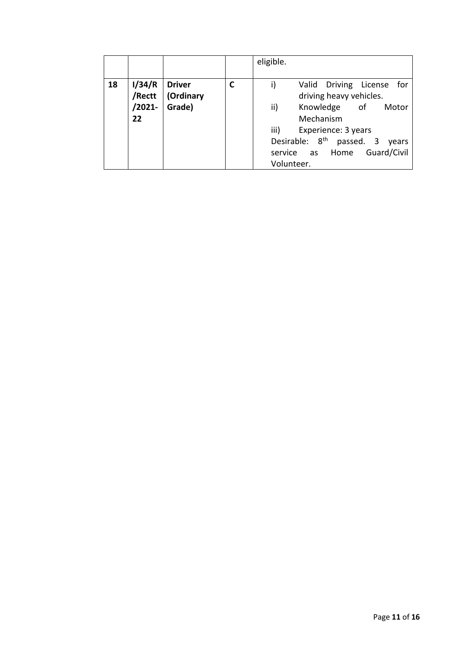|    |                                  |                                      |   | eligible.                                                                                                                                                                                                                                           |
|----|----------------------------------|--------------------------------------|---|-----------------------------------------------------------------------------------------------------------------------------------------------------------------------------------------------------------------------------------------------------|
| 18 | I/34/R<br>/Rectt<br>/2021-<br>22 | <b>Driver</b><br>(Ordinary<br>Grade) | C | Driving License<br>Valid<br>for<br>driving heavy vehicles.<br>ii)<br>Knowledge<br>of<br>Motor<br>Mechanism<br>iii)<br>Experience: 3 years<br>Desirable: 8 <sup>th</sup><br>passed. 3<br>years<br>Guard/Civil<br>service<br>Home<br>as<br>Volunteer. |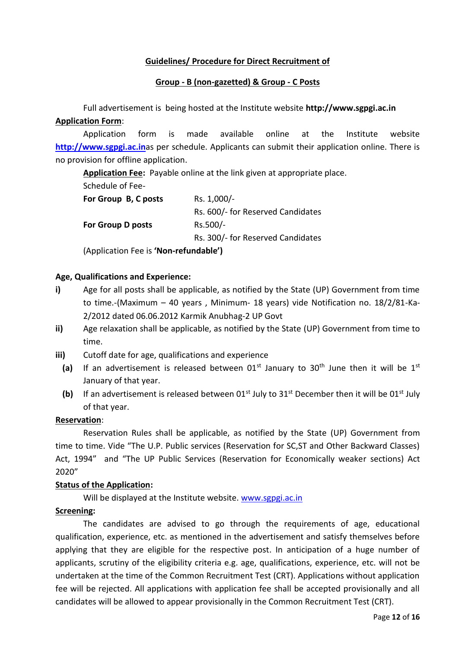## **Guidelines/ Procedure for Direct Recruitment of**

#### **Group - B (non-gazetted) & Group - C Posts**

Full advertisement is being hosted at the Institute website **http://www.sgpgi.ac.in Application Form**:

Application form is made available online at the Institute website **[http://www.sgpgi.ac.in](http://www.sgpgi.ac.in/)**as per schedule. Applicants can submit their application online. There is no provision for offline application.

**Application Fee:** Payable online at the link given at appropriate place.

Schedule of Fee-

| For Group B, C posts                  | Rs. 1,000/-                       |  |  |
|---------------------------------------|-----------------------------------|--|--|
|                                       | Rs. 600/- for Reserved Candidates |  |  |
| <b>For Group D posts</b>              | Rs.500/-                          |  |  |
|                                       | Rs. 300/- for Reserved Candidates |  |  |
| (Application Fee is 'Non-refundable') |                                   |  |  |

## **Age, Qualifications and Experience:**

- **i)** Age for all posts shall be applicable, as notified by the State (UP) Government from time to time.-(Maximum – 40 years , Minimum- 18 years) vide Notification no. 18/2/81-Ka-2/2012 dated 06.06.2012 Karmik Anubhag-2 UP Govt
- **ii)** Age relaxation shall be applicable, as notified by the State (UP) Government from time to time.
- **iii)** Cutoff date for age, qualifications and experience
	- (a) If an advertisement is released between  $01^{st}$  January to  $30^{th}$  June then it will be  $1^{st}$ January of that year.
	- (b) If an advertisement is released between  $01<sup>st</sup>$  July to  $31<sup>st</sup>$  December then it will be  $01<sup>st</sup>$  July of that year.

#### **Reservation**:

Reservation Rules shall be applicable, as notified by the State (UP) Government from time to time. Vide "The U.P. Public services (Reservation for SC,ST and Other Backward Classes) Act, 1994" and "The UP Public Services (Reservation for Economically weaker sections) Act 2020"

#### **Status of the Application:**

Will be displayed at the Institute website. [www.sgpgi.ac.in](http://www.sgpgi.ac.in/)

#### **Screening:**

The candidates are advised to go through the requirements of age, educational qualification, experience, etc. as mentioned in the advertisement and satisfy themselves before applying that they are eligible for the respective post. In anticipation of a huge number of applicants, scrutiny of the eligibility criteria e.g. age, qualifications, experience, etc. will not be undertaken at the time of the Common Recruitment Test (CRT). Applications without application fee will be rejected. All applications with application fee shall be accepted provisionally and all candidates will be allowed to appear provisionally in the Common Recruitment Test (CRT).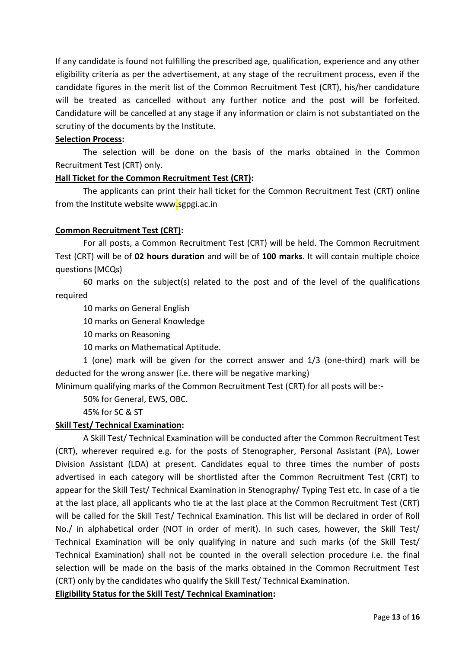If any candidate is found not fulfilling the prescribed age, qualification, experience and any other eligibility criteria as per the advertisement, at any stage of the recruitment process, even if the candidate figures in the merit list of the Common Recruitment Test (CRT), his/her candidature will be treated as cancelled without any further notice and the post will be forfeited. Candidature will be cancelled at any stage if any information or claim is not substantiated on the scrutiny of the documents by the Institute.

## **Selection Process:**

The selection will be done on the basis of the marks obtained in the Common Recruitment Test (CRT) only.

## **Hall Ticket for the Common Recruitment Test (CRT):**

The applicants can print their hall ticket for the Common Recruitment Test (CRT) online from the Institute website www.sgpgi.ac.in

# **Common Recruitment Test (CRT):**

For all posts, a Common Recruitment Test (CRT) will be held. The Common Recruitment Test (CRT) will be of **02 hours duration** and will be of **100 marks**. It will contain multiple choice questions (MCQs)

60 marks on the subject(s) related to the post and of the level of the qualifications required

10 marks on General English

10 marks on General Knowledge

10 marks on Reasoning

10 marks on Mathematical Aptitude.

1 (one) mark will be given for the correct answer and 1/3 (one-third) mark will be deducted for the wrong answer (i.e. there will be negative marking)

Minimum qualifying marks of the Common Recruitment Test (CRT) for all posts will be:-

50% for General, EWS, OBC.

45% for SC & ST

#### **Skill Test/ Technical Examination:**

A Skill Test/ Technical Examination will be conducted after the Common Recruitment Test (CRT), wherever required e.g. for the posts of Stenographer, Personal Assistant (PA), Lower Division Assistant (LDA) at present. Candidates equal to three times the number of posts advertised in each category will be shortlisted after the Common Recruitment Test (CRT) to appear for the Skill Test/ Technical Examination in Stenography/ Typing Test etc. In case of a tie at the last place, all applicants who tie at the last place at the Common Recruitment Test (CRT) will be called for the Skill Test/ Technical Examination. This list will be declared in order of Roll No./ in alphabetical order (NOT in order of merit). In such cases, however, the Skill Test/ Technical Examination will be only qualifying in nature and such marks (of the Skill Test/ Technical Examination) shall not be counted in the overall selection procedure i.e. the final selection will be made on the basis of the marks obtained in the Common Recruitment Test (CRT) only by the candidates who qualify the Skill Test/ Technical Examination.

**Eligibility Status for the Skill Test/ Technical Examination:**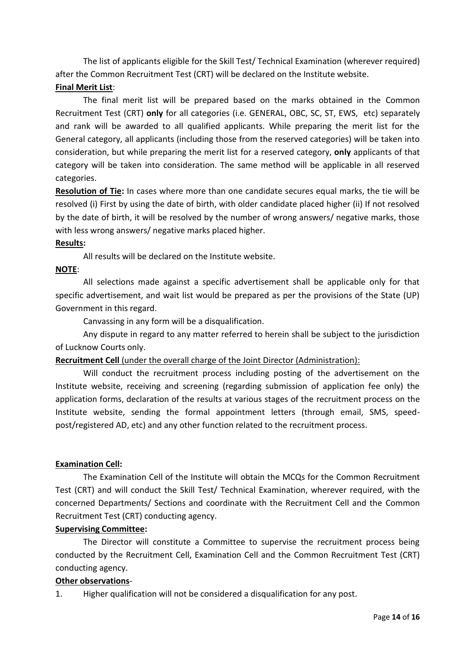The list of applicants eligible for the Skill Test/ Technical Examination (wherever required) after the Common Recruitment Test (CRT) will be declared on the Institute website.

# **Final Merit List**:

The final merit list will be prepared based on the marks obtained in the Common Recruitment Test (CRT) **only** for all categories (i.e. GENERAL, OBC, SC, ST, EWS, etc) separately and rank will be awarded to all qualified applicants. While preparing the merit list for the General category, all applicants (including those from the reserved categories) will be taken into consideration, but while preparing the merit list for a reserved category, **only** applicants of that category will be taken into consideration. The same method will be applicable in all reserved categories.

**Resolution of Tie:** In cases where more than one candidate secures equal marks, the tie will be resolved (i) First by using the date of birth, with older candidate placed higher (ii) If not resolved by the date of birth, it will be resolved by the number of wrong answers/ negative marks, those with less wrong answers/ negative marks placed higher.

#### **Results:**

All results will be declared on the Institute website.

## **NOTE**:

All selections made against a specific advertisement shall be applicable only for that specific advertisement, and wait list would be prepared as per the provisions of the State (UP) Government in this regard.

Canvassing in any form will be a disqualification.

Any dispute in regard to any matter referred to herein shall be subject to the jurisdiction of Lucknow Courts only.

**Recruitment Cell** (under the overall charge of the Joint Director (Administration):

Will conduct the recruitment process including posting of the advertisement on the Institute website, receiving and screening (regarding submission of application fee only) the application forms, declaration of the results at various stages of the recruitment process on the Institute website, sending the formal appointment letters (through email, SMS, speedpost/registered AD, etc) and any other function related to the recruitment process.

# **Examination Cell:**

The Examination Cell of the Institute will obtain the MCQs for the Common Recruitment Test (CRT) and will conduct the Skill Test/ Technical Examination, wherever required, with the concerned Departments/ Sections and coordinate with the Recruitment Cell and the Common Recruitment Test (CRT) conducting agency.

#### **Supervising Committee:**

The Director will constitute a Committee to supervise the recruitment process being conducted by the Recruitment Cell, Examination Cell and the Common Recruitment Test (CRT) conducting agency.

#### **Other observations**-

1. Higher qualification will not be considered a disqualification for any post.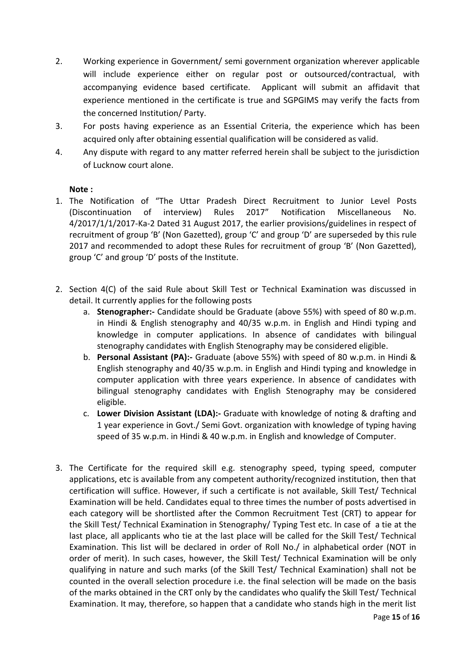- 2. Working experience in Government/ semi government organization wherever applicable will include experience either on regular post or outsourced/contractual, with accompanying evidence based certificate. Applicant will submit an affidavit that experience mentioned in the certificate is true and SGPGIMS may verify the facts from the concerned Institution/ Party.
- 3. For posts having experience as an Essential Criteria, the experience which has been acquired only after obtaining essential qualification will be considered as valid.
- 4. Any dispute with regard to any matter referred herein shall be subject to the jurisdiction of Lucknow court alone.

## **Note :**

- 1. The Notification of "The Uttar Pradesh Direct Recruitment to Junior Level Posts (Discontinuation of interview) Rules 2017" Notification Miscellaneous No. 4/2017/1/1/2017-Ka-2 Dated 31 August 2017, the earlier provisions/guidelines in respect of recruitment of group 'B' (Non Gazetted), group 'C' and group 'D' are superseded by this rule 2017 and recommended to adopt these Rules for recruitment of group 'B' (Non Gazetted), group 'C' and group 'D' posts of the Institute.
- 2. Section 4(C) of the said Rule about Skill Test or Technical Examination was discussed in detail. It currently applies for the following posts
	- a. **Stenographer:-** Candidate should be Graduate (above 55%) with speed of 80 w.p.m. in Hindi & English stenography and 40/35 w.p.m. in English and Hindi typing and knowledge in computer applications. In absence of candidates with bilingual stenography candidates with English Stenography may be considered eligible.
	- b. **Personal Assistant (PA):-** Graduate (above 55%) with speed of 80 w.p.m. in Hindi & English stenography and 40/35 w.p.m. in English and Hindi typing and knowledge in computer application with three years experience. In absence of candidates with bilingual stenography candidates with English Stenography may be considered eligible.
	- c. **Lower Division Assistant (LDA):-** Graduate with knowledge of noting & drafting and 1 year experience in Govt./ Semi Govt. organization with knowledge of typing having speed of 35 w.p.m. in Hindi & 40 w.p.m. in English and knowledge of Computer.
- 3. The Certificate for the required skill e.g. stenography speed, typing speed, computer applications, etc is available from any competent authority/recognized institution, then that certification will suffice. However, if such a certificate is not available, Skill Test/ Technical Examination will be held. Candidates equal to three times the number of posts advertised in each category will be shortlisted after the Common Recruitment Test (CRT) to appear for the Skill Test/ Technical Examination in Stenography/ Typing Test etc. In case of a tie at the last place, all applicants who tie at the last place will be called for the Skill Test/ Technical Examination. This list will be declared in order of Roll No./ in alphabetical order (NOT in order of merit). In such cases, however, the Skill Test/ Technical Examination will be only qualifying in nature and such marks (of the Skill Test/ Technical Examination) shall not be counted in the overall selection procedure i.e. the final selection will be made on the basis of the marks obtained in the CRT only by the candidates who qualify the Skill Test/ Technical Examination. It may, therefore, so happen that a candidate who stands high in the merit list